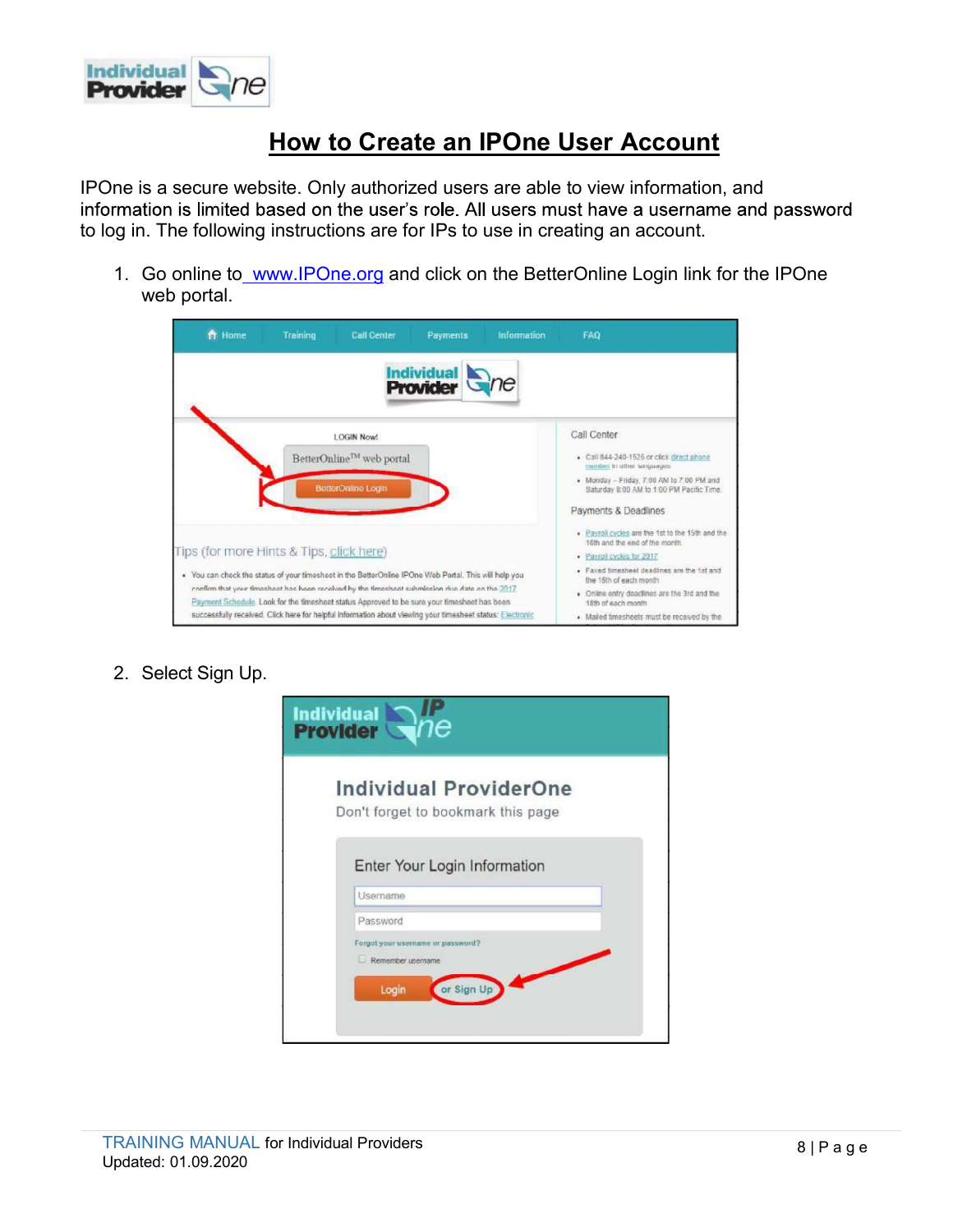

## How to Create an IPOne User Account

IPOne is a secure website. Only authorized users are able to view information, and<br>information is limited based on the user's role. All users must have a username and password to log in. The following instructions are for IPs to use in creating an account. 1. Go online to www.IPOne.org and click on the BetterOnline Login link for the IPOne<br>
1. Go online to www.IPOne.org and click on the BetterOnline Login link for the IPOne<br>
1. Go online to www.IPOne.org and click on the Bet

web portal.

| <b>ft</b> Home | <b>Training</b><br><b>Call Center</b>                                                                                                                                                         | Payments<br>Information              | FAQ                                                                                                             |
|----------------|-----------------------------------------------------------------------------------------------------------------------------------------------------------------------------------------------|--------------------------------------|-----------------------------------------------------------------------------------------------------------------|
|                |                                                                                                                                                                                               | <b>Individual</b><br><b>Provider</b> |                                                                                                                 |
|                | <b>LOGIN Now!</b>                                                                                                                                                                             |                                      | Call Center                                                                                                     |
|                | BetterOnline™ web portal                                                                                                                                                                      |                                      | Call 844-240-1526 or click direct phone<br>number in other languages                                            |
|                | <b>BetterOnline Login</b>                                                                                                                                                                     |                                      | . Monday - Friday, 7:00 AM to 7:00 PM and<br>Saturday 8:00 AM to 1:00 PM Pacific Time.                          |
|                |                                                                                                                                                                                               |                                      | Payments & Deadlines                                                                                            |
|                | Tips (for more Hints & Tips, click here)                                                                                                                                                      |                                      | . Payroll cycles are the 1st to the 15th and the<br>16th and the end of the month.<br>· Payroll cycles for 2017 |
|                | . You can check the status of your timesheet in the BetterOnline IPOne Web Portal. This will help you                                                                                         |                                      | - Faxed timesheet deadlines are the 1st and<br>the 16th of each month                                           |
|                | confirm that your timesheet has been received by the timesheet submission due date on the 2017<br>Payment Schedule. Look for the timesheet status Approved to be sure your timesheet has been |                                      | . Online entry deadlines are the 3rd and the<br>18th of each month.                                             |
|                | successfully received. Click here for helpful information about viewing your timesheet status: Electronic                                                                                     |                                      | · Mailed timesheets must be received by the                                                                     |

| <b>Individual ProviderOne</b>      |
|------------------------------------|
| Don't forget to bookmark this page |
|                                    |
|                                    |
| Enter Your Login Information       |
| <b>Username</b>                    |
|                                    |
| Password                           |
| Forgot your usemame or password?   |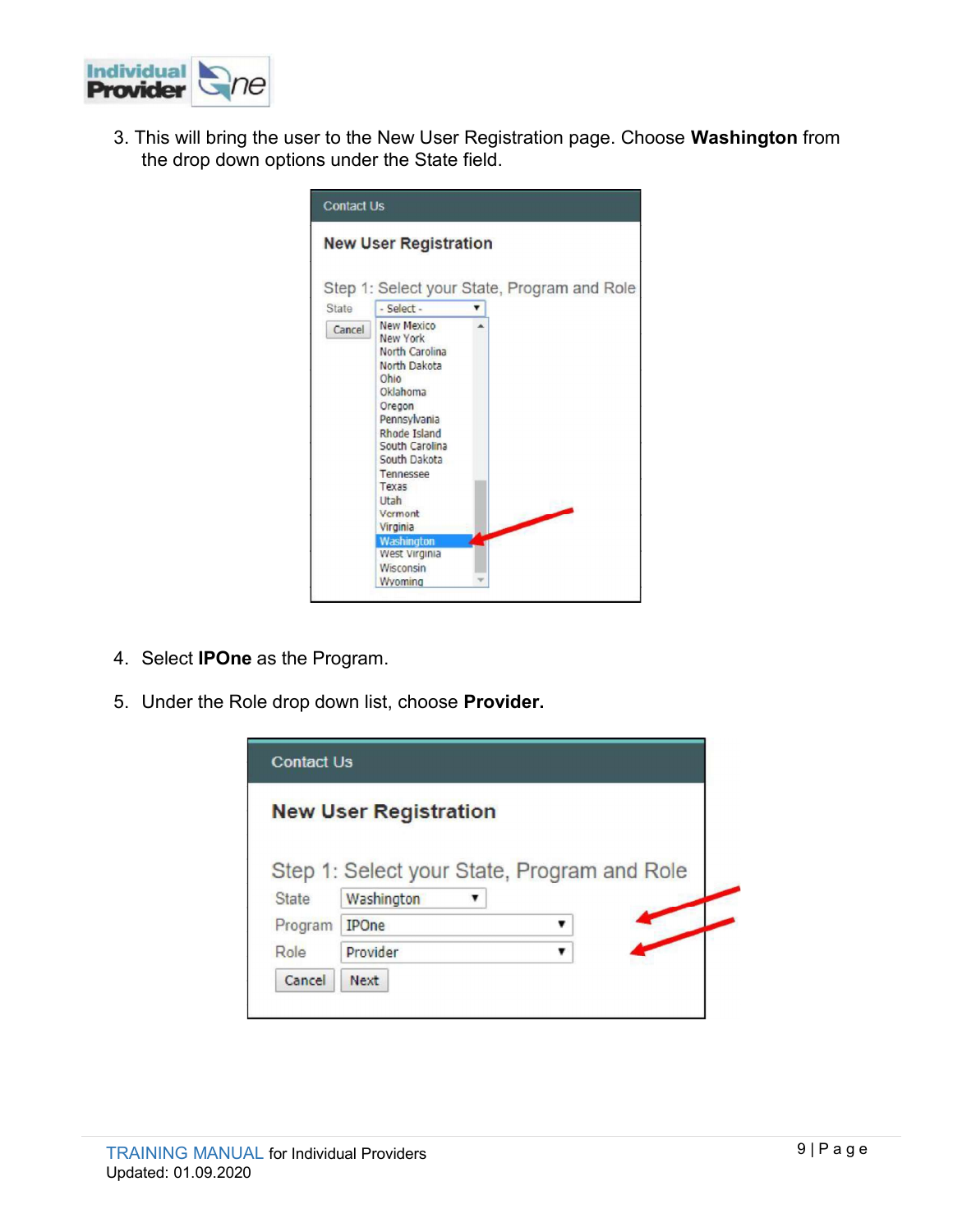

**3.** This will bring the user to the New User Registration page. Choose Washington from the drop down options under the State field. the drop down options under the State field.



- 
- 

| <b>Contact Us</b> |                                                           |
|-------------------|-----------------------------------------------------------|
|                   | <b>New User Registration</b>                              |
|                   |                                                           |
|                   |                                                           |
| <b>State</b>      | Step 1: Select your State, Program and Role<br>Washington |
| Program           | <b>IPOne</b>                                              |
| Role              | Provider                                                  |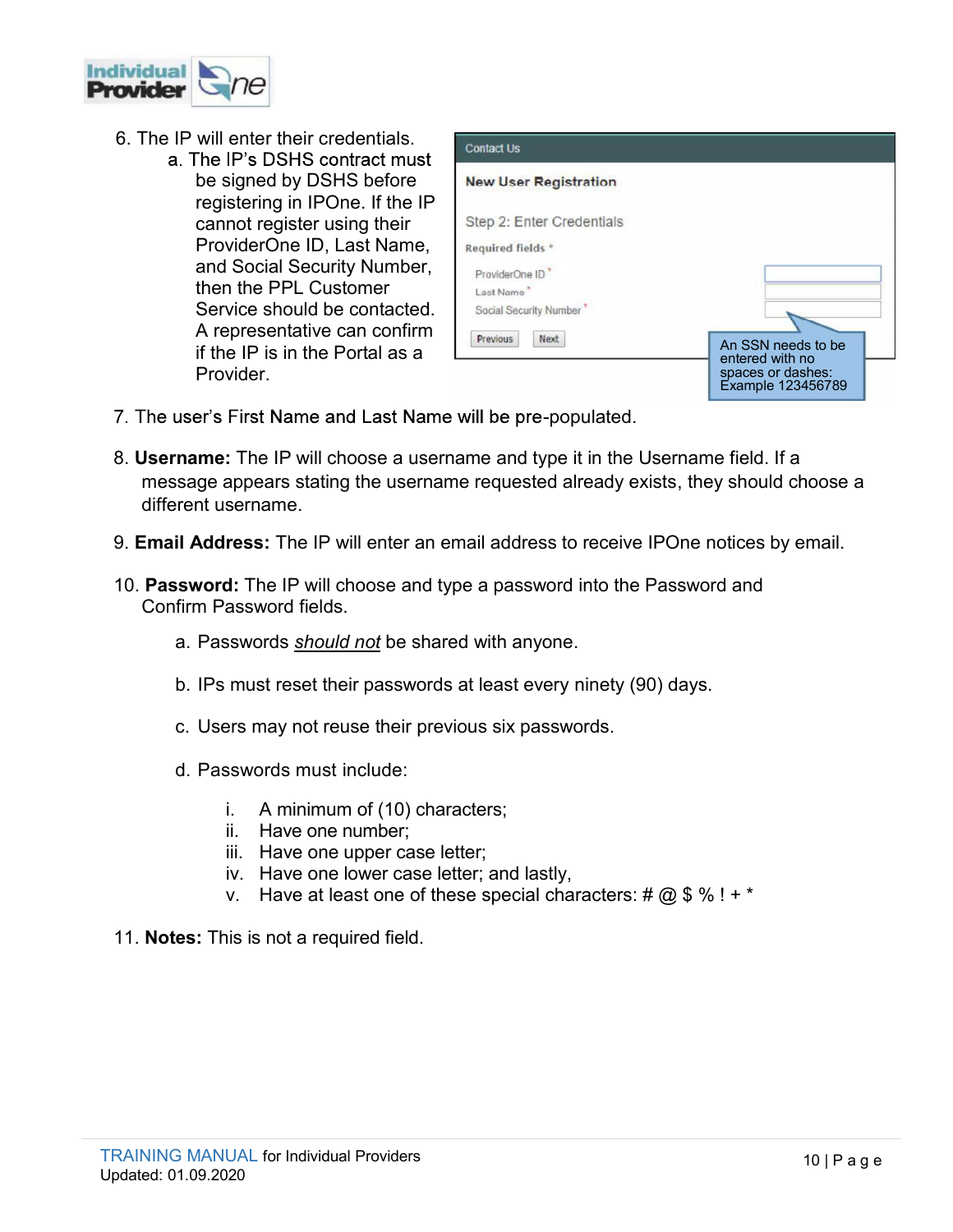

- 
- **Example 2.1 Second Contact Development Contact Development Contact Us**<br> **6.** The IP will enter their credentials.<br> **6.** The IP's DSHS contract must<br>
be signed by DSHS before<br>
registering in IPOne. If the IP<br>
cannot regist be signed by DSHS before New User Registration registering in IPOne. If the IP cannot register using their Step 2: Enter Credentials ProviderOne ID, Last Name, Required fields \* and Social Security Number, FroviderOne ID\* then the PPL Customer Service should be contacted. | Social Security Number' A representative can confirm **Previous** Next if the IP is in the Portal as a Provider.



- 7. The user's First Name and Last Name will be pre-populated.
- 8. Username: The IP will choose a username and type it in the Username field. If a message appears stating the username requested already exists, they should choose a different username. A representative can confirm<br>
if the IP is in the Portal as a<br>
Provider.<br>
user's First Name and Last Name will be pre-populated.<br> **name:** The IP will choose a username and type it in the Username field<br>
since the six passw Provider.<br>
user's First Name and Last Name will be pre-populated.<br> **In anne:** The IP will choose a username and type it in the Username field. If a<br>
sage appears stating the username requested already exists, they should c First Name and Last Name will be pre-populated.<br>
The IP will choose a username and type it in the Username field. If a<br>
appears stating the username requested already exists, they should choose a<br>
sername.<br> **ress:** The IP : The IP will choose a username and type it in the Username field.<br>appears stating the username requested already exists, they shou<br>sername.<br>**ress:** The IP will enter an email address to receive IPOne notices<br>**d:** The IP : The IP will choose a username and type it in the Username field.<br>appears stating the username requested already exists, they shou<br>sername.<br>**ress:** The IP will enter an email address to receive IPOne notices<br>d: The IP wi appears stating the username requested already exists, they should choose a<br>sername.<br> **ress:** The IP will enter an email address to receive IPOne notices by email.<br> **d:** The IP will choose and type a password into the Pass
- 9. Email Address: The IP will enter an email address to receive IPOne notices by email.
- Confirm Password fields. v. Have a mean and address to receive IPOne notices by email.<br>
1. The IP will choose and type a password into the Password and<br>
assword fields.<br>
swords *should not* be shared with anyone.<br>
must reset their passwords at lea
	-
	-
	-
	- -
		-
		-
		-
		-
- 11. **Notes:** This is not a required field.